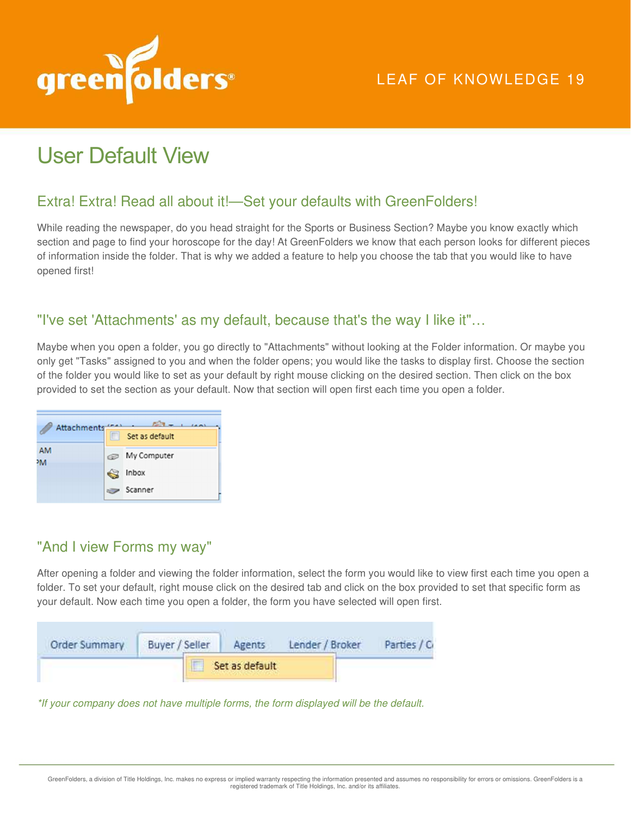

# User Default View

## Extra! Extra! Read all about it!—Set your defaults with GreenFolders!

While reading the newspaper, do you head straight for the Sports or Business Section? Maybe you know exactly which section and page to find your horoscope for the day! At GreenFolders we know that each person looks for different pieces of information inside the folder. That is why we added a feature to help you choose the tab that you would like to have opened first!

#### "I've set 'Attachments' as my default, because that's the way I like it"…

Maybe when you open a folder, you go directly to "Attachments" without looking at the Folder information. Or maybe you only get "Tasks" assigned to you and when the folder opens; you would like the tasks to display first. Choose the section of the folder you would like to set as your default by right mouse clicking on the desired section. Then click on the box provided to set the section as your default. Now that section will open first each time you open a folder.



## "And I view Forms my way"

After opening a folder and viewing the folder information, select the form you would like to view first each time you open a folder. To set your default, right mouse click on the desired tab and click on the box provided to set that specific form as your default. Now each time you open a folder, the form you have selected will open first.

| Order Summary | Buyer / Seller | Agents         | Lender / Broker | Parties / C |
|---------------|----------------|----------------|-----------------|-------------|
|               |                | Set as default |                 |             |

\*If your company does not have multiple forms, the form displayed will be the default.